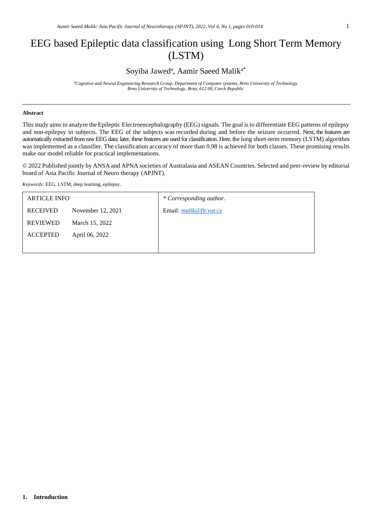# EEG based Epileptic data classification using Long Short Term Memory (LSTM)

## Soyiba Jawed<sup>a</sup>, Aamir Saeed Malik<sup>a\*</sup>

*<sup>a</sup>Cognitive and Neural Engineering Research Group, Department of Computer systems, Brno University of Technology Brno University of Technology, Brno, 612 00, Czech Republic*

### **Abstract**

This study aims to analyze the Epileptic Electroencephalography (EEG) signals. The goal is to differentiate EEG patterns of epilepsy and non-epilepsy in subjects. The EEG of the subjects was recorded during and before the seizure occurred. Next, the features are automatically extracted from raw EEG data; later, these features are used for classification. Here, the long short-term memory (LSTM) algorithm wasimplemented as a classifier. The classification accuracy of more than 0.98 is achieved for both classes. These promising results make our model reliable for practical implementations.

© 2022 Published jointly by ANSA and APNA societies of Australasia and ASEAN Countries. Selected and peer-review by editorial board of Asia Pacific Journal of Neuro therapy (APJNT).

*Keywords:* EEG, LSTM, deep learning, epilepsy.

| <b>ARTICLE INFO</b> |                   | * Corresponding author.         |  |
|---------------------|-------------------|---------------------------------|--|
| <b>RECEIVED</b>     | November 12, 2021 | Email: $mali \& \& fit.vut. cz$ |  |
| <b>REVIEWED</b>     | March 15, 2022    |                                 |  |
| <b>ACCEPTED</b>     | April 06, 2022    |                                 |  |
|                     |                   |                                 |  |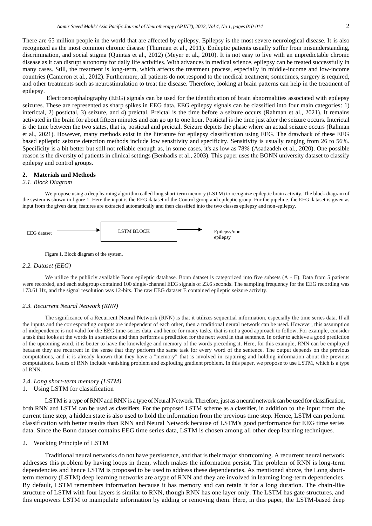There are 65 million people in the world that are affected by epilepsy. Epilepsy is the most severe neurological disease. It is also recognized as the most common chronic disease (Thurman et al., 2011). Epileptic patients usually suffer from misunderstanding, discrimination, and social stigma (Quintas et al., 2012) (Meyer et al., 2010). It is not easy to live with an unpredictable chronic disease as it can disrupt autonomy for daily life activities. With advances in medical science, epilepsy can be treated successfully in many cases. Still, the treatment is long-term, which affects the treatment process, especially in middle-income and low-income countries (Cameron et al., 2012). Furthermore, all patients do not respond to the medical treatment; sometimes, surgery is required, and other treatments such as neurostimulation to treat the disease. Therefore, looking at brain patterns can help in the treatment of epilepsy.

Electroencephalography (EEG) signals can be used for the identification of brain abnormalities associated with epilepsy seizures. These are represented as sharp spikes in EEG data. EEG epilepsy signals can be classified into four main categories: 1) interictal, 2) postictal, 3) seizure, and 4) preictal. Preictal is the time before a seizure occurs (Rahman et al., 2021). It remains activated in the brain for about fifteen minutes and can go up to one hour. Postictal is the time just after the seizure occurs. Interictal is the time between the two states, that is, postictal and preictal. Seizure depicts the phase where an actual seizure occurs (Rahman et al., 2021). However, many methods exist in the literature for epilepsy classification using EEG. The drawback of these EEG based epileptic seizure detection methods include low sensitivity and specificity. Sensitivity is usually ranging from 26 to 56%. Specificity is a bit better but still not reliable enough as, in some cases, it's as low as 78% (Asadzadeh et al., 2020). One possible reason is the diversity of patients in clinical settings (Benbadis et al., 2003). This paper uses the BONN university dataset to classify epilepsy and control groups.

#### **2. Materials and Methods**

#### *2.1. Block Diagram*

We propose using a deep learning algorithm called long short-term memory (LSTM) to recognize epileptic brain activity. The block diagram of the system is shown in figure 1. Here the input is the EEG dataset of the Control group and epileptic group. For the pipeline, the EEG dataset is given as input from the given data; features are extracted automatically and then classified into the two classes epilepsy and non-epilepsy.



Figure 1. Block diagram of the system.

#### *2.2. Dataset (EEG)*

We utilize the publicly available Bonn epileptic database. Bonn dataset is categorized into five subsets (A - E). Data from 5 patients were recorded, and each subgroup contained 100 single-channel EEG signals of 23.6 seconds. The sampling frequency for the EEG recording was 173.61 Hz, and the signal resolution was 12-bits. The raw EEG dataset E contained epileptic seizure activity.

#### *2.3. Recurrent Neural Network (RNN)*

The significance of a Recurrent Neural Network (RNN) is that it utilizes sequential information, especially the time series data. If all the inputs and the corresponding outputs are independent of each other, then a traditional neural network can be used. However, this assumption of independence is not valid for the EEG time-series data, and hence for many tasks, that is not a good approach to follow. For example, consider a task that looks at the words in a sentence and then performs a prediction for the next word in that sentence. In order to achieve a good prediction of the upcoming word, it is better to have the knowledge and memory of the words preceding it. Here, for this example, RNN can be employed because they are recurrent in the sense that they perform the same task for every word of the sentence. The output depends on the previous computations, and it is already known that they have a "memory" that is involved in capturing and holding information about the previous computations. Issues of RNN include vanishing problem and exploding gradient problem. In this paper, we propose to use LSTM, which is a type of RNN.

#### 2.4. *Long short-term memory (LSTM)*

#### 1. Using LSTM for classification

LSTM is a type of RNN and RNN is a type of Neural Network. Therefore, just as a neural network can be used for classification, both RNN and LSTM can be used as classifiers. For the proposed LSTM scheme as a classifier, in addition to the input from the current time step, a hidden state is also used to hold the information from the previous time step. Hence, LSTM can perform classification with better results than RNN and Neural Network because of LSTM's good performance for EEG time series data. Since the Bonn dataset contains EEG time series data, LSTM is chosen among all other deep learning techniques.

#### 2. Working Principle of LSTM

Traditional neural networks do not have persistence, and that is their major shortcoming. A recurrent neural network addresses this problem by having loops in them, which makes the information persist. The problem of RNN is long-term dependencies and hence LSTM is proposed to be used to address these dependencies. As mentioned above, the Long shortterm memory (LSTM) deep learning networks are a type of RNN and they are involved in learning long-term dependencies. By default, LSTM remembers information because it has memory and can retain it for a long duration. The chain-like structure of LSTM with four layers is similar to RNN, though RNN has one layer only. The LSTM has gate structures, and this empowers LSTM to manipulate information by adding or removing them. Here, in this paper, the LSTM-based deep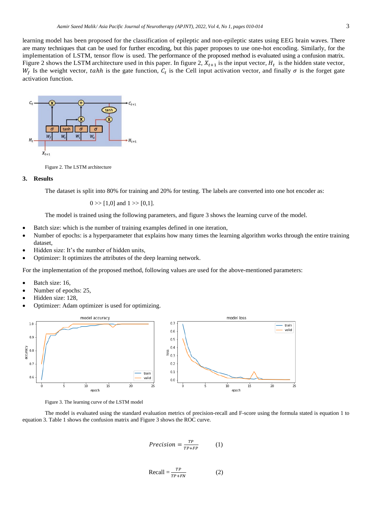implementation of LSTM, tensor flow is used. The performance of the proposed method is evaluated using a confusion matrix. Figure 2 shows the LSTM architecture used in this paper. In figure 2,  $X_{t+1}$  is the input vector,  $H_t$  is the hidden state vector,  $W_f$  Is the weight vector, tahh is the gate function,  $C_t$  is the Cell input activation vector, and finally  $\sigma$  is the forget gate activation function.



Figure 2. The LSTM architecture

#### **3. Results**

The dataset is split into 80% for training and 20% for testing. The labels are converted into one hot encoder as:

 $0 \gg [1,0]$  and  $1 \gg [0,1]$ .

The model is trained using the following parameters, and figure 3 shows the learning curve of the model.

- Batch size: which is the number of training examples defined in one iteration,
- Number of epochs: is a hyperparameter that explains how many times the learning algorithm works through the entire training dataset,
- Hidden size: It's the number of hidden units,
- Optimizer: It optimizes the attributes of the deep learning network.

For the implementation of the proposed method, following values are used for the above-mentioned parameters:

- Batch size: 16,
- Number of epochs: 25,
- Hidden size: 128,
- Optimizer: Adam optimizer is used for optimizing.



Figure 3. The learning curve of the LSTM model

The model is evaluated using the standard evaluation metrics of precision-recall and F-score using the formula stated is equation 1 to equation 3. Table 1 shows the confusion matrix and Figure 3 shows the ROC curve.

$$
Precision = \frac{TP}{TP + FP}
$$
 (1)

$$
Recall = \frac{TP}{TP + FN}
$$
 (2)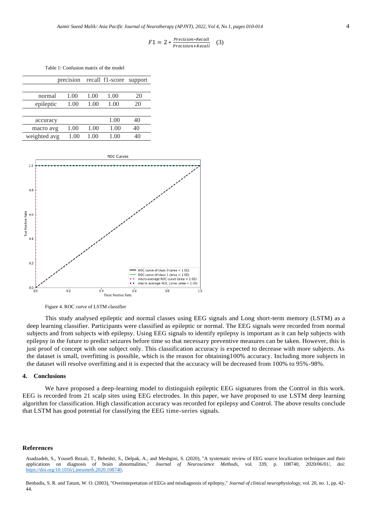#### $F1 = 2 * \frac{Precision * Recall}{Precision * Recall}$ Precision+Recall (3)

Table 1: Confusion matrix of the model

|              | precision |      | recall f1-score | support |
|--------------|-----------|------|-----------------|---------|
|              |           |      |                 |         |
| normal       | 1.00      | 1.00 | 1.00            | 20      |
| epileptic    | 1.00      | 1.00 | 1.00            | 20      |
|              |           |      |                 |         |
| accuracy     |           |      | 1.00            | 40      |
| macro avg    | 1.00      | 1.00 | 1.00            | 40      |
| weighted avg | 1.00      | 1.00 | 1.00            | 40      |



Figure 4. ROC curve of LSTM classifier

This study analysed epileptic and normal classes using EEG signals and Long short-term memory (LSTM) as a deep learning classifier. Participants were classified as epileptic or normal. The EEG signals were recorded from normal subjects and from subjects with epilepsy. Using EEG signals to identify epilepsy is important as it can help subjects with epilepsy in the future to predict seizures before time so that necessary preventive measures can be taken. However, this is just proof of concept with one subject only. This classification accuracy is expected to decrease with more subjects. As the dataset is small, overfitting is possible, which is the reason for obtaining100% accuracy. Including more subjects in the dataset will resolve overfitting and it is expected that the accuracy will be decreased from 100% to 95%-98%.

#### **4. Conclusions**

We have proposed a deep-learning model to distinguish epileptic EEG signatures from the Control in this work. EEG is recorded from 21 scalp sites using EEG electrodes. In this paper, we have proposed to use LSTM deep learning algorithm for classification. High classification accuracy was recorded for epilepsy and Control. The above results conclude that LSTM has good potential for classifying the EEG time-series signals.

#### **References**

Asadzadeh, S., Yousefi Rezaii, T., Beheshti, S., Delpak, A., and Meshgini, S. (2020), "A systematic review of EEG source localization techniques and their applications on diagnosis of brain abnormalities," *Journal of Neuroscience Methods,* vol. 339, p. 108740, 2020/06/01/, doi: [https://doi.org/10.1016/j.jneumeth.2020.108740.](https://doi.org/10.1016/j.jneumeth.2020.108740)

Benbadis, S. R. and Tatum, W. O. (2003), "Overintepretation of EEGs and misdiagnosis of epilepsy," *Journal of clinical neurophysiology,* vol. 20, no. 1, pp. 42- 44.